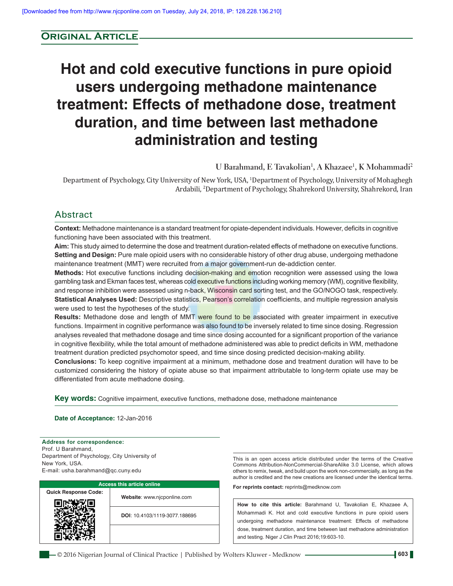# **Original Article**

# **Hot and cold executive functions in pure opioid users undergoing methadone maintenance treatment: Effects of methadone dose, treatment duration, and time between last methadone administration and testing**

# **U Barahmand, E Tavakolian1 , A Khazaee1 , K Mohammadi2**

Department of Psychology, City University of New York, USA, 1 Department of Psychology, University of Mohaghegh Ardabili, 2 Department of Psychology, Shahrekord University, Shahrekord, Iran

# Abstract

**Context:** Methadone maintenance is a standard treatment for opiate‑dependent individuals. However, deficits in cognitive functioning have been associated with this treatment.

Aim: This study aimed to determine the dose and treatment duration-related effects of methadone on executive functions. **Setting and Design:** Pure male opioid users with no considerable history of other drug abuse, undergoing methadone maintenance treatment (MMT) were recruited from a major government-run de-addiction center.

Methods: Hot executive functions including decision-making and emotion recognition were assessed using the Iowa gambling task and Ekman faces test, whereas cold executive functions including working memory (WM), cognitive flexibility, and response inhibition were assessed using n-back, Wisconsin card sorting test, and the GO/NOGO task, respectively. **Statistical Analyses Used:** Descriptive statistics, Pearson's correlation coefficients, and multiple regression analysis were used to test the hypotheses of the study.

**Results:** Methadone dose and length of MMT were found to be associated with greater impairment in executive functions. Impairment in cognitive performance was also found to be inversely related to time since dosing. Regression analyses revealed that methadone dosage and time since dosing accounted for a significant proportion of the variance in cognitive flexibility, while the total amount of methadone administered was able to predict deficits in WM, methadone treatment duration predicted psychomotor speed, and time since dosing predicted decision-making ability.

**Conclusions:** To keep cognitive impairment at a minimum, methadone dose and treatment duration will have to be customized considering the history of opiate abuse so that impairment attributable to long-term opiate use may be differentiated from acute methadone dosing.

**Key words:** Cognitive impairment, executive functions, methadone dose, methadone maintenance

#### **Date of Acceptance:** 12‑Jan‑2016

**Address for correspondence:** Prof. U Barahmand, Department of Psychology, City University of New York, USA. E‑mail: usha.barahmand@qc.cuny.edu



This is an open access article distributed under the terms of the Creative Commons Attribution‑NonCommercial‑ShareAlike 3.0 License, which allows others to remix, tweak, and build upon the work non‑commercially, as long as the author is credited and the new creations are licensed under the identical terms.

**For reprints contact:** reprints@medknow.com

**How to cite this article:** Barahmand U, Tavakolian E, Khazaee A, Mohammadi K. Hot and cold executive functions in pure opioid users undergoing methadone maintenance treatment: Effects of methadone dose, treatment duration, and time between last methadone administration and testing. Niger J Clin Pract 2016;19:603-10.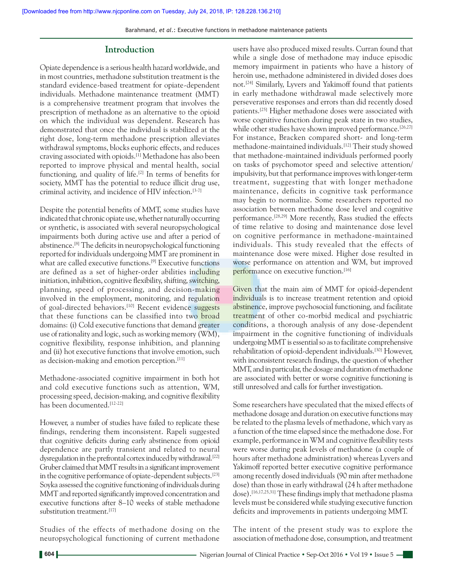Barahmand, *et al*.: Executive functions in methadone maintenance patients

# **Introduction**

Opiate dependence is a serious health hazard worldwide, and in most countries, methadone substitution treatment is the standard evidence‑based treatment for opiate‑dependent individuals. Methadone maintenance treatment (MMT) is a comprehensive treatment program that involves the prescription of methadone as an alternative to the opioid on which the individual was dependent. Research has demonstrated that once the individual is stabilized at the right dose, long‑term methadone prescription alleviates withdrawal symptoms, blocks euphoric effects, and reduces craving associated with opioids.[1] Methadone has also been reported to improve physical and mental health, social functioning, and quality of life.<sup>[2]</sup> In terms of benefits for society, MMT has the potential to reduce illicit drug use, criminal activity, and incidence of HIV infection.<sup>[3-7]</sup>

Despite the potential benefits of MMT, some studies have indicated that chronic opiate use, whether naturally occurring or synthetic, is associated with several neuropsychological impairments both during active use and after a period of abstinence.[8] The deficits in neuropsychological functioning reported for individuals undergoing MMT are prominent in what are called executive functions.<sup>[9]</sup> Executive functions are defined as a set of higher‑order abilities including initiation, inhibition, cognitive flexibility, shifting, switching, planning, speed of processing, and decision-making involved in the employment, monitoring, and regulation of goal-directed behaviors.<sup>[10]</sup> Recent evidence suggests that these functions can be classified into two broad domains: (i) Cold executive functions that demand greater use of rationality and logic, such as working memory (WM), cognitive flexibility, response inhibition, and planning and (ii) hot executive functions that involve emotion, such as decision-making and emotion perception.<sup>[11]</sup>

Methadone‑associated cognitive impairment in both hot and cold executive functions such as attention, WM, processing speed, decision‑making, and cognitive flexibility has been documented.[12‑22]

However, a number of studies have failed to replicate these findings, rendering them inconsistent. Rapeli suggested that cognitive deficits during early abstinence from opioid dependence are partly transient and related to neural dysregulation in the prefrontal cortex induced by withdrawal.<sup>[22]</sup> Gruber claimed that MMT results in a significant improvement in the cognitive performance of opiate-dependent subjects.<sup>[23]</sup> Soyka assessed the cognitive functioning of individuals during MMT and reported significantly improved concentration and executive functions after 8–10 weeks of stable methadone substitution treatment.<sup>[17]</sup>

Studies of the effects of methadone dosing on the neuropsychological functioning of current methadone users have also produced mixed results. Curran found that while a single dose of methadone may induce episodic memory impairment in patients who have a history of heroin use, methadone administered in divided doses does not.[24] Similarly, Lyvers and Yakimoff found that patients in early methadone withdrawal made selectively more perseverative responses and errors than did recently dosed patients.[25] Higher methadone doses were associated with worse cognitive function during peak state in two studies, while other studies have shown improved performance.<sup>[26,27]</sup> For instance, Bracken compared short- and long-term methadone‑maintained individuals.[12] Their study showed that methadone‑maintained individuals performed poorly on tasks of psychomotor speed and selective attention/ impulsivity, but that performance improves with longer-term treatment, suggesting that with longer methadone maintenance, deficits in cognitive task performance may begin to normalize. Some researchers reported no association between methadone dose level and cognitive performance.[28,29] More recently, Rass studied the effects of time relative to dosing and maintenance dose level on cognitive performance in methadone‑maintained individuals. This study revealed that the effects of maintenance dose were mixed. Higher dose resulted in worse performance on attention and WM, but improved performance on executive function.<sup>[16]</sup>

Given that the main aim of MMT for opioid-dependent individuals is to increase treatment retention and opioid abstinence, improve psychosocial functioning, and facilitate treatment of other co-morbid medical and psychiatric conditions, a thorough analysis of any dose-dependent impairment in the cognitive functioning of individuals undergoing MMT is essential so as to facilitate comprehensive rehabilitation of opioid‑dependent individuals.[30] However, with inconsistent research findings, the question of whether MMT, and in particular, the dosage and duration of methadone are associated with better or worse cognitive functioning is still unresolved and calls for further investigation.

Some researchers have speculated that the mixed effects of methadone dosage and duration on executive functions may be related to the plasma levels of methadone, which vary as a function of the time elapsed since the methadone dose. For example, performance in WM and cognitive flexibility tests were worse during peak levels of methadone (a couple of hours after methadone administration) whereas Lyvers and Yakimoff reported better executive cognitive performance among recently dosed individuals (90 min after methadone dose) than those in early withdrawal (24 h after methadone dose).<sup>[16,17,25,31]</sup> These findings imply that methadone plasma levels must be considered while studying executive function deficits and improvements in patients undergoing MMT.

The intent of the present study was to explore the association of methadone dose, consumption, and treatment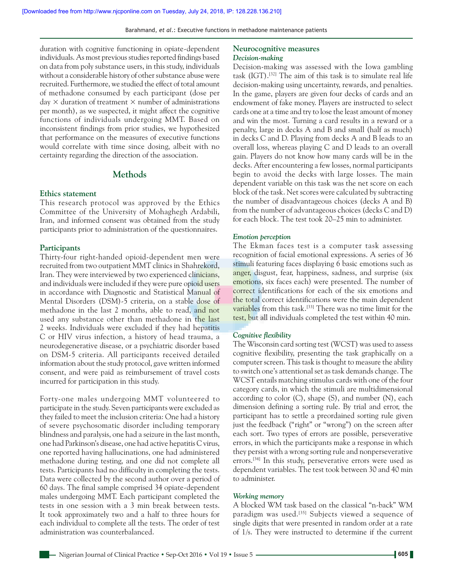duration with cognitive functioning in opiate‑dependent individuals. As most previous studies reported findings based on data from poly substance users, in this study, individuals without a considerable history of other substance abuse were recruited. Furthermore, we studied the effect of total amount of methadone consumed by each participant (dose per day  $\times$  duration of treatment  $\times$  number of administrations per month), as we suspected, it might affect the cognitive functions of individuals undergoing MMT. Based on inconsistent findings from prior studies, we hypothesized that performance on the measures of executive functions would correlate with time since dosing, albeit with no certainty regarding the direction of the association.

# **Methods**

## **Ethics statement**

This research protocol was approved by the Ethics Committee of the University of Mohaghegh Ardabili, Iran, and informed consent was obtained from the study participants prior to administration of the questionnaires.

#### **Participants**

Thirty-four right-handed opioid-dependent men were recruited from two outpatient MMT clinics in Shahrekord, Iran. They were interviewed by two experienced clinicians, and individuals were included if they were pure opioid users in accordance with Diagnostic and Statistical Manual of Mental Disorders (DSM)-5 criteria, on a stable dose of methadone in the last 2 months, able to read, and not used any substance other than methadone in the last 2 weeks. Individuals were excluded if they had hepatitis C or HIV virus infection, a history of head trauma, a neurodegenerative disease, or a psychiatric disorder based on DSM‑5 criteria. All participants received detailed information about the study protocol, gave written informed consent, and were paid as reimbursement of travel costs incurred for participation in this study.

Forty‑one males undergoing MMT volunteered to participate in the study. Seven participants were excluded as they failed to meet the inclusion criteria: One had a history of severe psychosomatic disorder including temporary blindness and paralysis, one had a seizure in the last month, one had Parkinson's disease, one had active hepatitis C virus, one reported having hallucinations, one had administered methadone during testing, and one did not complete all tests. Participants had no difficulty in completing the tests. Data were collected by the second author over a period of 60 days. The final sample comprised 34 opiate‑dependent males undergoing MMT. Each participant completed the tests in one session with a 3 min break between tests. It took approximately two and a half to three hours for each individual to complete all the tests. The order of test administration was counterbalanced.

#### **Neurocognitive measures** *Decision‑making*

Decision‑making was assessed with the Iowa gambling task (IGT).[32] The aim of this task is to simulate real life decision-making using uncertainty, rewards, and penalties. In the game, players are given four decks of cards and an endowment of fake money. Players are instructed to select cards one at a time and try to lose the least amount of money and win the most. Turning a card results in a reward or a penalty, large in decks A and B and small (half as much) in decks C and D. Playing from decks A and B leads to an overall loss, whereas playing C and D leads to an overall gain. Players do not know how many cards will be in the decks. After encountering a few losses, normal participants begin to avoid the decks with large losses. The main dependent variable on this task was the net score on each block of the task. Net scores were calculated by subtracting the number of disadvantageous choices (decks A and B) from the number of advantageous choices (decks C and D) for each block. The test took 20–25 min to administer.

#### *Emotion perception*

The Ekman faces test is a computer task assessing recognition of facial emotional expressions. A series of 36 stimuli featuring faces displaying 6 basic emotions such as anger, disgust, fear, happiness, sadness, and surprise (six emotions, six faces each) were presented. The number of correct identifications for each of the six emotions and the total correct identifications were the main dependent variables from this task.<sup>[33]</sup> There was no time limit for the test, but all individuals completed the test within 40 min.

#### *Cognitive flexibility*

The Wisconsin card sorting test(WCST) was used to assess cognitive flexibility, presenting the task graphically on a computer screen. This task is thought to measure the ability to switch one's attentional set as task demands change. The WCST entails matching stimulus cards with one of the four category cards, in which the stimuli are multidimensional according to color (C), shape (S), and number (N), each dimension defining a sorting rule. By trial and error, the participant has to settle a preordained sorting rule given just the feedback ("right" or "wrong") on the screen after each sort. Two types of errors are possible, perseverative errors, in which the participants make a response in which they persist with a wrong sorting rule and nonperseverative errors.<sup>[34]</sup> In this study, perseverative errors were used as dependent variables. The test took between 30 and 40 min to administer.

## *Working memory*

A blocked WM task based on the classical "n‑back" WM paradigm was used.<sup>[35]</sup> Subjects viewed a sequence of single digits that were presented in random order at a rate of 1/s. They were instructed to determine if the current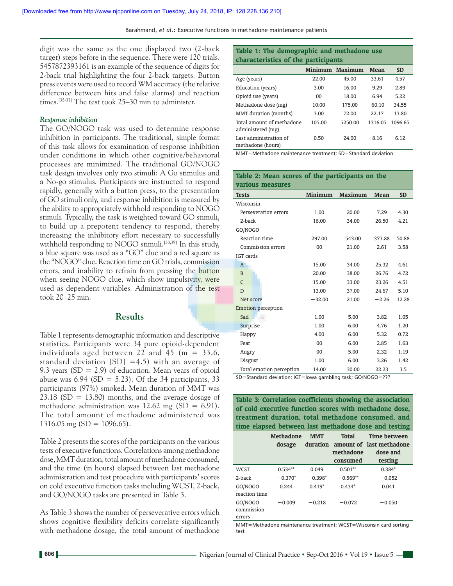digit was the same as the one displayed two (2‑back target) steps before in the sequence. There were 120 trials. 5457872393161 is an example of the sequence of digits for 2‑back trial highlighting the four 2‑back targets. Button press events were used to record WM accuracy (the relative difference between hits and false alarms) and reaction times.<sup>[35.37]</sup> The test took 25–30 min to administer.

#### *Response inhibition*

The GO/NOGO task was used to determine response inhibition in participants. The traditional, simple format of this task allows for examination of response inhibition under conditions in which other cognitive/behavioral processes are minimized. The traditional GO/NOGO task design involves only two stimuli: A Go stimulus and a No‑go stimulus. Participants are instructed to respond rapidly, generally with a button press, to the presentation of GO stimuli only, and response inhibition is measured by the ability to appropriately withhold responding to NOGO stimuli. Typically, the task is weighted toward GO stimuli, to build up a prepotent tendency to respond, thereby increasing the inhibitory effort necessary to successfully withhold responding to NOGO stimuli.<sup>[38,39]</sup> In this study, a blue square was used as a "GO" clue and a red square as the "NOGO" clue. Reaction time on GO trials, commission errors, and inability to refrain from pressing the button when seeing NOGO clue, which show impulsivity, were used as dependent variables. Administration of the test took 20–25 min.

# **Results**

Table 1 represents demographic information and descriptive statistics. Participants were 34 pure opioid‑dependent individuals aged between 22 and 45 ( $m = 33.6$ , standard deviation  $[SD] = 4.5$ ) with an average of 9.3 years  $(SD = 2.9)$  of education. Mean years of opioid abuse was  $6.94$  (SD = 5.23). Of the 34 participants, 33 participants (97%) smoked. Mean duration of MMT was  $23.18$  (SD = 13.80) months, and the average dosage of methadone administration was  $12.62$  mg (SD = 6.91). The total amount of methadone administered was 1316.05 mg (SD = 1096.65).

Table 2 presents the scores of the participants on the various tests of executive functions. Correlations among methadone dose, MMT duration, total amount of methadone consumed, and the time (in hours) elapsed between last methadone administration and test procedure with participants' scores on cold executive function tasks including WCST, 2‑back, and GO/NOGO tasks are presented in Table 3.

As Table 3 shows the number of perseverative errors which shows cognitive flexibility deficits correlate significantly with methadone dosage, the total amount of methadone

# **Table 1: The demographic and methadone use characteristics of the participants**

|                                                | Minimum | Maximum | <b>Mean</b> | <b>SD</b> |
|------------------------------------------------|---------|---------|-------------|-----------|
| Age (years)                                    | 22.00   | 45.00   | 33.61       | 4.57      |
| Education (years)                              | 3.00    | 16.00   | 9.29        | 2.89      |
| Opioid use (years)                             | 00      | 18.00   | 6.94        | 5.22      |
| Methadone dose (mg)                            | 10.00   | 175.00  | 60.10       | 34.55     |
| MMT duration (months)                          | 3.00    | 72.00   | 22.17       | 13.80     |
| Total amount of methadone<br>administered (mg) | 105.00  | 5250.00 | 1316.05     | 1096.65   |
| Last administration of<br>methadone (hours)    | 0.50    | 24.00   | 8.16        | 6.12      |

MMT=Methadone maintenance treatment; SD=Standard deviation

**Table 2: Mean scores of the participants on the** 

| various measures                                                     |                |                |         |           |
|----------------------------------------------------------------------|----------------|----------------|---------|-----------|
| <b>Tests</b>                                                         | <b>Minimum</b> | <b>Maximum</b> | Mean    | <b>SD</b> |
| Wisconsin                                                            |                |                |         |           |
| Perseveration errors                                                 | 1.00           | 20.00          | 7.29    | 4.30      |
| 2-back                                                               | 16.00          | 34.00          | 26.50   | 4.21      |
| GO/NOGO                                                              |                |                |         |           |
| Reaction time                                                        | 297.00         | 543.00         | 373.88  | 50.88     |
| Commission errors                                                    | 00             | 21.00          | 2.61    | 3.58      |
| IGT cards                                                            |                |                |         |           |
| $\overline{A}$                                                       | 15.00          | 34.00          | 25.32   | 4.61      |
| $\mathbf{B}$                                                         | 20.00          | 38.00          | 26.76   | 4.72      |
| $\mathsf{C}$                                                         | 15.00          | 33.00          | 23.26   | 4.51      |
| D                                                                    | 13.00          | 37.00          | 24.67   | 5.10      |
| Net score                                                            | $-32.00$       | 21.00          | $-2.26$ | 12.28     |
| <b>Emotion perception</b>                                            |                |                |         |           |
| Sad                                                                  | 1.00           | 5.00           | 3.82    | 1.05      |
| Surprise                                                             | 1.00           | 6.00           | 4.76    | 1.20      |
| Happy                                                                | 4.00           | 6.00           | 5.32    | 0.72      |
| Fear                                                                 | 00             | 6.00           | 2.85    | 1.63      |
| Angry                                                                | 00             | 5.00           | 2.32    | 1.19      |
| Disgust                                                              | 1.00           | 6.00           | 3.26    | 1.42      |
| Total emotion perception                                             | 14.00          | 30.00          | 22.23   | 3.5       |
| $CD -$ Ctandard doviation: $CT -$ lowa gambling task: $COMOCA - 222$ |                |                |         |           |

SD=Standard deviation; IGT=Iowa gambling task; GO/NOGO=???

**Table 3: Correlation coefficients showing the association of cold executive function scores with methadone dose, treatment duration, total methadone consumed, and time elapsed between last methadone dose and testing**

|                                 | <b>Methadone</b><br>dosage | <b>MMT</b> | Total<br>methadone<br>consumed | Time between<br>duration amount of last methadone<br>dose and<br>testing |
|---------------------------------|----------------------------|------------|--------------------------------|--------------------------------------------------------------------------|
| <b>WCST</b>                     | $0.534**$                  | 0.049      | $0.501**$                      | $0.384*$                                                                 |
| 2-back                          | $-0.370*$                  | $-0.398*$  | $-0.569**$                     | $-0.052$                                                                 |
| GO/NOGO<br>reaction time        | 0.244                      | $0.419*$   | $0.434*$                       | 0.041                                                                    |
| GO/NOGO<br>commission<br>errors | $-0.009$                   | $-0.218$   | $-0.072$                       | $-0.050$                                                                 |

MMT=Methadone maintenance treatment; WCST=Wisconsin card sorting test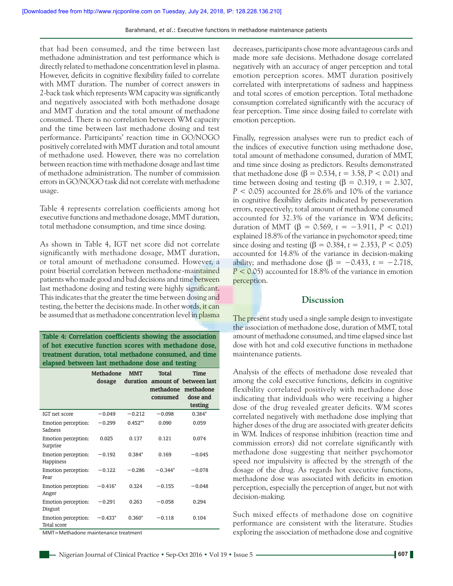that had been consumed, and the time between last methadone administration and test performance which is directly related to methadone concentration level in plasma. However, deficits in cognitive flexibility failed to correlate with MMT duration. The number of correct answers in 2‑back task which represents WM capacity was significantly and negatively associated with both methadone dosage and MMT duration and the total amount of methadone consumed. There is no correlation between WM capacity and the time between last methadone dosing and test performance. Participants' reaction time in GO/NOGO positively correlated with MMT duration and total amount of methadone used. However, there was no correlation between reaction time with methadone dosage and last time of methadone administration. The number of commission errors in GO/NOGO task did not correlate with methadone usage.

Table 4 represents correlation coefficients among hot executive functions and methadone dosage, MMT duration, total methadone consumption, and time since dosing.

As shown in Table 4, IGT net score did not correlate significantly with methadone dosage, MMT duration, or total amount of methadone consumed. However, a point biserial correlation between methadone-maintained patients who made good and bad decisions and time between last methadone dosing and testing were highly significant. This indicates that the greater the time between dosing and testing, the better the decisions made. In other words, it can be assumed that as methadone concentration level in plasma

**Table 4: Correlation coefficients showing the association of hot executive function scores with methadone dose, treatment duration, total methadone consumed, and time elapsed between last methadone dose and testing**

|                                    | <b>Methadone</b><br>dosage | <b>MMT</b> | <b>Total</b><br>consumed | Time<br>duration amount of between last<br>methadone methadone<br>dose and<br>testing |
|------------------------------------|----------------------------|------------|--------------------------|---------------------------------------------------------------------------------------|
| IGT net score                      | $-0.049$                   | $-0.212$   | $-0.098$                 | $0.384*$                                                                              |
| Emotion perception:<br>Sadness     | $-0.299$                   | $0.452**$  | 0.090                    | 0.059                                                                                 |
| Emotion perception:<br>Surprise    | 0.025                      | 0.137      | 0.121                    | 0.074                                                                                 |
| Emotion perception:<br>Happiness   | $-0.192$                   | $0.384*$   | 0.169                    | $-0.045$                                                                              |
| Emotion perception:<br>Fear        | $-0.122$                   | $-0.286$   | $-0.344*$                | $-0.078$                                                                              |
| Emotion perception:<br>Anger       | $-0.416*$                  | 0.324      | $-0.155$                 | $-0.048$                                                                              |
| Emotion perception:<br>Disgust     | $-0.291$                   | 0.263      | $-0.058$                 | 0.294                                                                                 |
| Emotion perception:<br>Total score | $-0.433*$                  | $0.360*$   | $-0.118$                 | 0.104                                                                                 |

MMT=Methadone maintenance treatment

decreases, participants chose more advantageous cards and made more safe decisions. Methadone dosage correlated negatively with an accuracy of anger perception and total emotion perception scores. MMT duration positively correlated with interpretations of sadness and happiness and total scores of emotion perception. Total methadone consumption correlated significantly with the accuracy of fear perception. Time since dosing failed to correlate with emotion perception.

Finally, regression analyses were run to predict each of the indices of executive function using methadone dose, total amount of methadone consumed, duration of MMT, and time since dosing as predictors. Results demonstrated that methadone dose (β = 0.534,  $t = 3.58, P < 0.01$ ) and time between dosing and testing ( $\beta = 0.319$ ,  $t = 2.307$ , *P* < 0.05) accounted for 28.6% and 10% of the variance in cognitive flexibility deficits indicated by perseveration errors, respectively; total amount of methadone consumed accounted for 32.3% of the variance in WM deficits; duration of MMT (β = 0.569, *t* = −3.911, *P* < 0.01) explained 18.8% of the variance in psychomotor speed; time since dosing and testing (β = 0.384, *t* = 2.353,  $P$  < 0.05) accounted for 14.8% of the variance in decision‑making ability; and methadone dose ( $\beta = -0.433$ ,  $t = -2.718$ , *P* < 0.05) accounted for 18.8% of the variance in emotion perception.

# **Discussion**

The present study used a single sample design to investigate the association of methadone dose, duration of MMT, total amount of methadone consumed, and time elapsed since last dose with hot and cold executive functions in methadone maintenance patients.

Analysis of the effects of methadone dose revealed that among the cold executive functions, deficits in cognitive flexibility correlated positively with methadone dose indicating that individuals who were receiving a higher dose of the drug revealed greater deficits. WM scores correlated negatively with methadone dose implying that higher doses of the drug are associated with greater deficits in WM. Indices of response inhibition (reaction time and commission errors) did not correlate significantly with methadone dose suggesting that neither psychomotor speed nor impulsivity is affected by the strength of the dosage of the drug. As regards hot executive functions, methadone dose was associated with deficits in emotion perception, especially the perception of anger, but not with decision‑making.

Such mixed effects of methadone dose on cognitive performance are consistent with the literature. Studies exploring the association of methadone dose and cognitive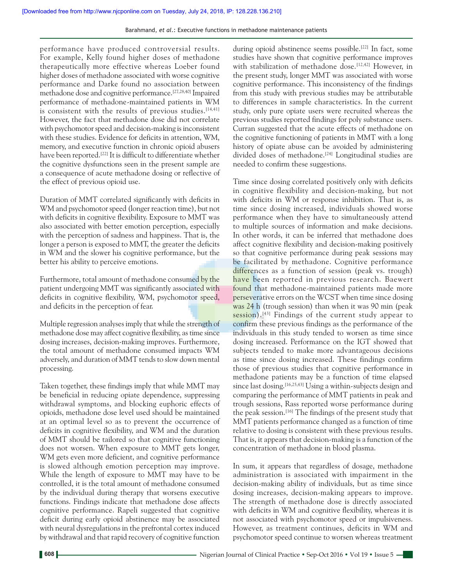performance have produced controversial results. For example, Kelly found higher doses of methadone therapeutically more effective whereas Loeber found higher doses of methadone associated with worse cognitive performance and Darke found no association between methadone dose and cognitive performance.[27,28,40] Impaired performance of methadone‑maintained patients in WM is consistent with the results of previous studies.  $[14,41]$ However, the fact that methadone dose did not correlate with psychomotor speed and decision-making is inconsistent with these studies. Evidence for deficits in attention, WM, memory, and executive function in chronic opioid abusers have been reported.<sup>[22]</sup> It is difficult to differentiate whether the cognitive dysfunctions seen in the present sample are a consequence of acute methadone dosing or reflective of the effect of previous opioid use.

Duration of MMT correlated significantly with deficits in WM and psychomotor speed (longer reaction time), but not with deficits in cognitive flexibility. Exposure to MMT was also associated with better emotion perception, especially with the perception of sadness and happiness. That is, the longer a person is exposed to MMT, the greater the deficits in WM and the slower his cognitive performance, but the better his ability to perceive emotions.

Furthermore, total amount of methadone consumed by the patient undergoing MMT was significantly associated with deficits in cognitive flexibility, WM, psychomotor speed, and deficits in the perception of fear.

Multiple regression analyses imply that while the strength of methadone dose may affect cognitive flexibility, as time since dosing increases, decision-making improves. Furthermore, the total amount of methadone consumed impacts WM adversely, and duration of MMT tends to slow down mental processing.

Taken together, these findings imply that while MMT may be beneficial in reducing opiate dependence, suppressing withdrawal symptoms, and blocking euphoric effects of opioids, methadone dose level used should be maintained at an optimal level so as to prevent the occurrence of deficits in cognitive flexibility, and WM and the duration of MMT should be tailored so that cognitive functioning does not worsen. When exposure to MMT gets longer, WM gets even more deficient, and cognitive performance is slowed although emotion perception may improve. While the length of exposure to MMT may have to be controlled, it is the total amount of methadone consumed by the individual during therapy that worsens executive functions. Findings indicate that methadone dose affects cognitive performance. Rapeli suggested that cognitive deficit during early opioid abstinence may be associated with neural dysregulations in the prefrontal cortex induced by withdrawal and that rapid recovery of cognitive function

during opioid abstinence seems possible.<sup>[22]</sup> In fact, some studies have shown that cognitive performance improves with stabilization of methadone dose.<sup>[12,42]</sup> However, in the present study, longer MMT was associated with worse cognitive performance. This inconsistency of the findings from this study with previous studies may be attributable to differences in sample characteristics. In the current study, only pure opiate users were recruited whereas the previous studies reported findings for poly substance users. Curran suggested that the acute effects of methadone on the cognitive functioning of patients in MMT with a long history of opiate abuse can be avoided by administering divided doses of methadone.<sup>[24]</sup> Longitudinal studies are needed to confirm these suggestions.

Time since dosing correlated positively only with deficits in cognitive flexibility and decision‑making, but not with deficits in WM or response inhibition. That is, as time since dosing increased, individuals showed worse performance when they have to simultaneously attend to multiple sources of information and make decisions. In other words, it can be inferred that methadone does affect cognitive flexibility and decision‑making positively so that cognitive performance during peak sessions may be facilitated by methadone. Cognitive performance differences as a function of session (peak vs. trough) have been reported in previous research. Baewert found that methadone‑maintained patients made more perseverative errors on the WCST when time since dosing was 24 h (trough session) than when it was 90 min (peak session).<sup>[43]</sup> Findings of the current study appear to confirm these previous findings as the performance of the individuals in this study tended to worsen as time since dosing increased. Performance on the IGT showed that subjects tended to make more advantageous decisions as time since dosing increased. These findings confirm those of previous studies that cognitive performance in methadone patients may be a function of time elapsed since last dosing.<sup>[16,25,43]</sup> Using a within-subjects design and comparing the performance of MMT patients in peak and trough sessions, Rass reported worse performance during the peak session.<sup>[16]</sup> The findings of the present study that MMT patients performance changed as a function of time relative to dosing is consistent with these previous results. That is, it appears that decision‑making is a function of the concentration of methadone in blood plasma.

In sum, it appears that regardless of dosage, methadone administration is associated with impairment in the decision-making ability of individuals, but as time since dosing increases, decision‑making appears to improve. The strength of methadone dose is directly associated with deficits in WM and cognitive flexibility, whereas it is not associated with psychomotor speed or impulsiveness. However, as treatment continues, deficits in WM and psychomotor speed continue to worsen whereas treatment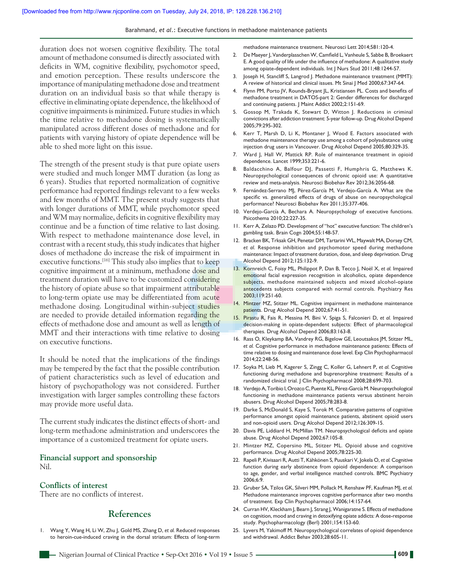Barahmand, *et al*.: Executive functions in methadone maintenance patients

duration does not worsen cognitive flexibility. The total amount of methadone consumed is directly associated with deficits in WM, cognitive flexibility, psychomotor speed, and emotion perception. These results underscore the importance of manipulating methadone dose and treatment duration on an individual basis so that while therapy is effective in eliminating opiate dependence, the likelihood of cognitive impairments is minimized. Future studies in which the time relative to methadone dosing is systematically manipulated across different doses of methadone and for patients with varying history of opiate dependence will be able to shed more light on this issue.

The strength of the present study is that pure opiate users were studied and much longer MMT duration (as long as 6 years). Studies that reported normalization of cognitive performance had reported findings relevant to a few weeks and few months of MMT. The present study suggests that with longer durations of MMT, while psychomotor speed and WM may normalize, deficits in cognitive flexibility may continue and be a function of time relative to last dosing. With respect to methadone maintenance dose level, in contrast with a recent study, this study indicates that higher doses of methadone do increase the risk of impairment in executive functions.<sup>[16]</sup> This study also implies that to keep cognitive impairment at a minimum, methadone dose and treatment duration will have to be customized considering the history of opiate abuse so that impairment attributable to long-term opiate use may be differentiated from acute methadone dosing. Longitudinal within-subject studies are needed to provide detailed information regarding the effects of methadone dose and amount as well as length of MMT and their interactions with time relative to dosing on executive functions.

It should be noted that the implications of the findings may be tempered by the fact that the possible contribution of patient characteristics such as level of education and history of psychopathology was not considered. Further investigation with larger samples controlling these factors may provide more useful data.

The current study indicates the distinct effects of short- and long‑term methadone administration and underscores the importance of a customized treatment for opiate users.

# **Financial support and sponsorship** Nil.

# **Conflicts of interest**

There are no conflicts of interest.

## **References**

1. Wang Y, Wang H, Li W, Zhu J, Gold MS, Zhang D, *et al.* Reduced responses to heroin-cue-induced craving in the dorsal striatum: Effects of long-term methadone maintenance treatment. Neurosci Lett 2014;581:120-4.

- 2. De Maeyer J, Vanderplasschen W, Camfield L, Vanheule S, Sabbe B, Broekaert E. A good quality of life under the influence of methadone: A qualitative study among opiate-dependent individuals. Int | Nurs Stud 2011;48:1244-57.
- 3. Joseph H, Stancliff S, Langrod J. Methadone maintenance treatment (MMT): A review of historical and clinical issues. Mt Sinai J Med 2000;67:347‑64.
- 4. Flynn PM, Porto JV, Rounds-Bryant JL, Kristiansen PL. Costs and benefits of methadone treatment in DATOS‑part 2: Gender differences for discharged and continuing patients. J Maint Addict 2002;2:151-69.
- 5. Gossop M, Trakada K, Stewart D, Witton J. Reductions in criminal convictions after addiction treatment: 5‑year follow‑up. Drug Alcohol Depend 2005;79:295‑302.
- 6. Kerr T, Marsh D, Li K, Montaner J, Wood E. Factors associated with methadone maintenance therapy use among a cohort of polysubstance using injection drug users in Vancouver. Drug Alcohol Depend 2005;80:329‑35.
- 7. Ward J, Hall W, Mattick RP. Role of maintenance treatment in opioid dependence. Lancet 1999;353:221‑6.
- 8. Baldacchino A, Balfour DJ, Passetti F, Humphris G, Matthews K. Neuropsychological consequences of chronic opioid use: A quantitative review and meta-analysis. Neurosci Biobehav Rev 2012;36:2056-68.
- 9. Fernández-Serrano MJ, Pérez-García M, Verdejo-García A. What are the specific vs. generalized effects of drugs of abuse on neuropsychological performance? Neurosci Biobehav Rev 2011;35:377-406.
- 10. Verdejo-García A, Bechara A. Neuropsychology of executive functions. Psicothema 2010;22:227‑35.
- 11. Kerr A, Zelazo PD. Development of "hot" executive function: The children's gambling task. Brain Cogn 2004;55:148‑57.
- 12. Bracken BK, Trksak GH, Penetar DM, Tartarini WL, Maywalt MA, Dorsey CM, *et al.* Response inhibition and psychomotor speed during methadone maintenance: Impact of treatment duration, dose, and sleep deprivation. Drug Alcohol Depend 2012;125:132‑9.
- 13. Kornreich C, Foisy ML, Philippot P, Dan B, Tecco J, Noël X, *et al.* Impaired emotional facial expression recognition in alcoholics, opiate dependence subjects, methadone maintained subjects and mixed alcohol-opiate antecedents subjects compared with normal controls. Psychiatry Res 2003;119:251‑60.
- 14. Mintzer MZ, Stitzer ML. Cognitive impairment in methadone maintenance patients. Drug Alcohol Depend 2002;67:41-51.
- 15. Pirastu R, Fais R, Messina M, Bini V, Spiga S, Falconieri D, *et al.* Impaired decision‑making in opiate‑dependent subjects: Effect of pharmacological therapies. Drug Alcohol Depend 2006;83:163‑8.
- 16. Rass O, Kleykamp BA, Vandrey RG, Bigelow GE, Leoutsakos JM, Stitzer ML, *et al.* Cognitive performance in methadone maintenance patients: Effects of time relative to dosing and maintenance dose level. Exp Clin Psychopharmacol 2014;22:248‑56.
- 17. Soyka M, Lieb M, Kagerer S, Zingg C, Koller G, Lehnert P, *et al.* Cognitive functioning during methadone and buprenorphine treatment: Results of a randomized clinical trial. J Clin Psychopharmacol 2008;28:699-703.
- 18. Verdejo A, Toribio I, Orozco C, Puente KL, Pérez-García M. Neuropsychological functioning in methadone maintenance patients versus abstinent heroin abusers. Drug Alcohol Depend 2005;78:283‑8.
- 19. Darke S, McDonald S, Kaye S, Torok M. Comparative patterns of cognitive performance amongst opioid maintenance patients, abstinent opioid users and non‑opioid users. Drug Alcohol Depend 2012;126:309‑15.
- 20. Davis PE, Liddiard H, McMillan TM. Neuropsychological deficits and opiate abuse. Drug Alcohol Depend 2002;67:105-8.
- 21. Mintzer MZ, Copersino ML, Stitzer ML. Opioid abuse and cognitive performance. Drug Alcohol Depend 2005;78:225‑30.
- 22. Rapeli P, Kivisaari R, Autti T, Kähkönen S, Puuskari V, Jokela O, *et al.* Cognitive function during early abstinence from opioid dependence: A comparison to age, gender, and verbal intelligence matched controls. BMC Psychiatry 2006;6:9.
- 23. Gruber SA, Tzilos GK, Silveri MM, Pollack M, Renshaw PF, Kaufman MJ, *et al.* Methadone maintenance improves cognitive performance after two months of treatment. Exp Clin Psychopharmacol 2006;14:157-64.
- 24. Curran HV, Kleckham J, Bearn J, Strang J, Wanigaratne S. Effects of methadone on cognition, mood and craving in detoxifying opiate addicts: A dose-response study. Psychopharmacology (Berl) 2001;154:153‑60.
- 25. Lyvers M, Yakimoff M. Neuropsychological correlates of opioid dependence and withdrawal. Addict Behav 2003;28:605‑11.